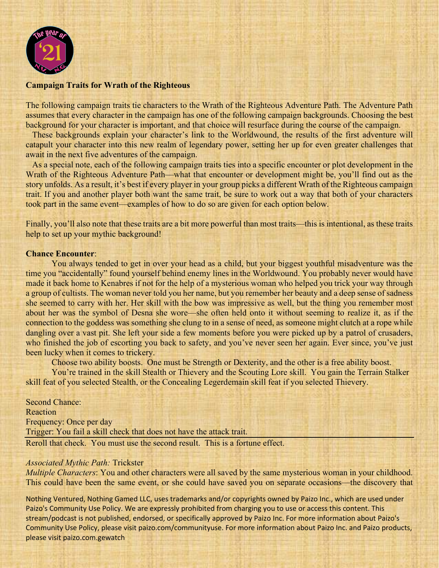

### **Campaign Traits for Wrath of the Righteous**

The following campaign traits tie characters to the Wrath of the Righteous Adventure Path. The Adventure Path assumes that every character in the campaign has one of the following campaign backgrounds. Choosing the best background for your character is important, and that choice will resurface during the course of the campaign.

These backgrounds explain your character's link to the Worldwound, the results of the first adventure will catapult your character into this new realm of legendary power, setting her up for even greater challenges that await in the next five adventures of the campaign.

As a special note, each of the following campaign traits ties into a specific encounter or plot development in the Wrath of the Righteous Adventure Path—what that encounter or development might be, you'll find out as the story unfolds. As a result, it's best if every player in your group picks a different Wrath of the Righteous campaign trait. If you and another player both want the same trait, be sure to work out a way that both of your characters took part in the same event—examples of how to do so are given for each option below.

Finally, you'll also note that these traits are a bit more powerful than most traits—this is intentional, as these traits help to set up your mythic background!

#### **Chance Encounter**:

You always tended to get in over your head as a child, but your biggest youthful misadventure was the time you "accidentally" found yourself behind enemy lines in the Worldwound. You probably never would have made it back home to Kenabres if not for the help of a mysterious woman who helped you trick your way through a group of cultists. The woman never told you her name, but you remember her beauty and a deep sense of sadness she seemed to carry with her. Her skill with the bow was impressive as well, but the thing you remember most about her was the symbol of Desna she wore—she often held onto it without seeming to realize it, as if the connection to the goddess was something she clung to in a sense of need, as someone might clutch at a rope while dangling over a vast pit. She left your side a few moments before you were picked up by a patrol of crusaders, who finished the job of escorting you back to safety, and you've never seen her again. Ever since, you've just been lucky when it comes to trickery.

Choose two ability boosts. One must be Strength or Dexterity, and the other is a free ability boost.

You're trained in the skill Stealth or Thievery and the Scouting Lore skill. You gain the Terrain Stalker skill feat of you selected Stealth, or the Concealing Legerdemain skill feat if you selected Thievery.

Second Chance: Reaction Frequency: Once per day Trigger: You fail a skill check that does not have the attack trait. Reroll that check. You must use the second result. This is a fortune effect.

#### *Associated Mythic Path:* Trickster

*Multiple Characters*: You and other characters were all saved by the same mysterious woman in your childhood. This could have been the same event, or she could have saved you on separate occasions—the discovery that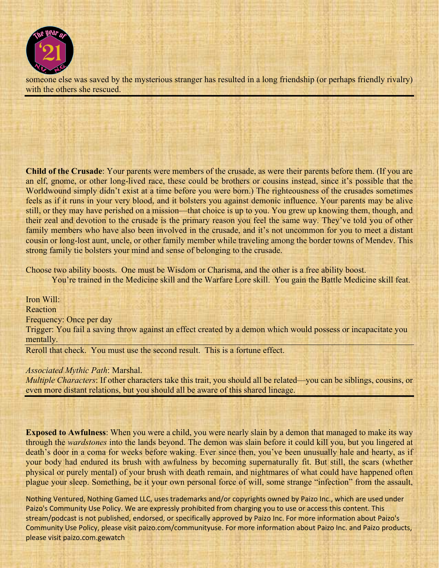

someone else was saved by the mysterious stranger has resulted in a long friendship (or perhaps friendly rivalry) with the others she rescued.

**Child of the Crusade**: Your parents were members of the crusade, as were their parents before them. (If you are an elf, gnome, or other long-lived race, these could be brothers or cousins instead, since it's possible that the Worldwound simply didn't exist at a time before you were born.) The righteousness of the crusades sometimes feels as if it runs in your very blood, and it bolsters you against demonic influence. Your parents may be alive still, or they may have perished on a mission—that choice is up to you. You grew up knowing them, though, and their zeal and devotion to the crusade is the primary reason you feel the same way. They've told you of other family members who have also been involved in the crusade, and it's not uncommon for you to meet a distant cousin or long-lost aunt, uncle, or other family member while traveling among the border towns of Mendev. This strong family tie bolsters your mind and sense of belonging to the crusade.

Choose two ability boosts. One must be Wisdom or Charisma, and the other is a free ability boost.

You're trained in the Medicine skill and the Warfare Lore skill. You gain the Battle Medicine skill feat.

Iron Will: **Reaction** Frequency: Once per day Trigger: You fail a saving throw against an effect created by a demon which would possess or incapacitate you mentally. Reroll that check. You must use the second result. This is a fortune effect.

*Associated Mythic Path*: Marshal.

*Multiple Characters*: If other characters take this trait, you should all be related—you can be siblings, cousins, or even more distant relations, but you should all be aware of this shared lineage.

**Exposed to Awfulness**: When you were a child, you were nearly slain by a demon that managed to make its way through the *wardstones* into the lands beyond. The demon was slain before it could kill you, but you lingered at death's door in a coma for weeks before waking. Ever since then, you've been unusually hale and hearty, as if your body had endured its brush with awfulness by becoming supernaturally fit. But still, the scars (whether physical or purely mental) of your brush with death remain, and nightmares of what could have happened often plague your sleep. Something, be it your own personal force of will, some strange "infection" from the assault,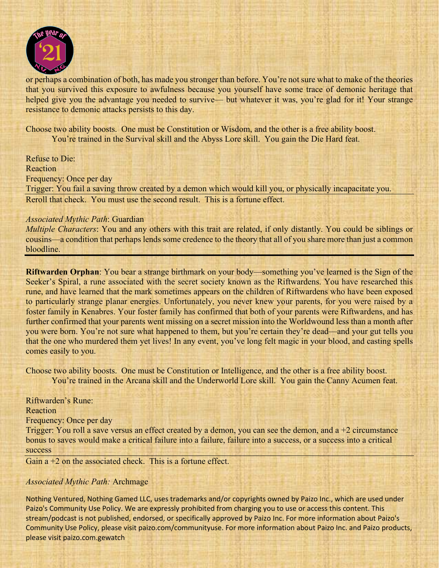

or perhaps a combination of both, has made you stronger than before. You're not sure what to make of the theories that you survived this exposure to awfulness because you yourself have some trace of demonic heritage that helped give you the advantage you needed to survive— but whatever it was, you're glad for it! Your strange resistance to demonic attacks persists to this day.

Choose two ability boosts. One must be Constitution or Wisdom, and the other is a free ability boost. You're trained in the Survival skill and the Abyss Lore skill. You gain the Die Hard feat.

Refuse to Die:

Reaction

Frequency: Once per day

Trigger: You fail a saving throw created by a demon which would kill you, or physically incapacitate you. Reroll that check. You must use the second result. This is a fortune effect.

# *Associated Mythic Path*: Guardian

*Multiple Characters*: You and any others with this trait are related, if only distantly. You could be siblings or cousins—a condition that perhaps lends some credence to the theory that all of you share more than just a common bloodline.

**Riftwarden Orphan**: You bear a strange birthmark on your body—something you've learned is the Sign of the Seeker's Spiral, a rune associated with the secret society known as the Riftwardens. You have researched this rune, and have learned that the mark sometimes appears on the children of Riftwardens who have been exposed to particularly strange planar energies. Unfortunately, you never knew your parents, for you were raised by a foster family in Kenabres. Your foster family has confirmed that both of your parents were Riftwardens, and has further confirmed that your parents went missing on a secret mission into the Worldwound less than a month after you were born. You're not sure what happened to them, but you're certain they're dead—and your gut tells you that the one who murdered them yet lives! In any event, you've long felt magic in your blood, and casting spells comes easily to you.

Choose two ability boosts. One must be Constitution or Intelligence, and the other is a free ability boost. You're trained in the Arcana skill and the Underworld Lore skill. You gain the Canny Acumen feat.

Riftwarden's Rune: Reaction Frequency: Once per day Trigger: You roll a save versus an effect created by a demon, you can see the demon, and a +2 circumstance bonus to saves would make a critical failure into a failure, failure into a success, or a success into a critical success

Gain a +2 on the associated check. This is a fortune effect.

# *Associated Mythic Path:* Archmage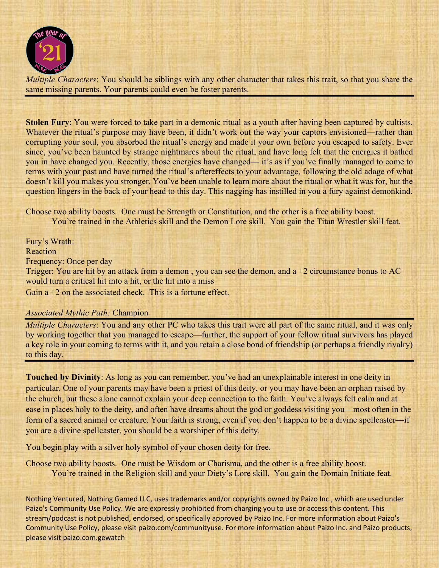

*Multiple Characters*: You should be siblings with any other character that takes this trait, so that you share the same missing parents. Your parents could even be foster parents.

**Stolen Fury**: You were forced to take part in a demonic ritual as a youth after having been captured by cultists. Whatever the ritual's purpose may have been, it didn't work out the way your captors envisioned—rather than corrupting your soul, you absorbed the ritual's energy and made it your own before you escaped to safety. Ever since, you've been haunted by strange nightmares about the ritual, and have long felt that the energies it bathed you in have changed you. Recently, those energies have changed— it's as if you've finally managed to come to terms with your past and have turned the ritual's aftereffects to your advantage, following the old adage of what doesn't kill you makes you stronger. You've been unable to learn more about the ritual or what it was for, but the question lingers in the back of your head to this day. This nagging has instilled in you a fury against demonkind.

Choose two ability boosts. One must be Strength or Constitution, and the other is a free ability boost. You're trained in the Athletics skill and the Demon Lore skill. You gain the Titan Wrestler skill feat.

Fury's Wrath: Reaction Frequency: Once per day Trigger: You are hit by an attack from a demon, you can see the demon, and a  $+2$  circumstance bonus to AC would turn a critical hit into a hit, or the hit into a miss Gain a +2 on the associated check. This is a fortune effect.

*Associated Mythic Path:* Champion

*Multiple Characters*: You and any other PC who takes this trait were all part of the same ritual, and it was only by working together that you managed to escape—further, the support of your fellow ritual survivors has played a key role in your coming to terms with it, and you retain a close bond of friendship (or perhaps a friendly rivalry) to this day.

**Touched by Divinity**: As long as you can remember, you've had an unexplainable interest in one deity in particular. One of your parents may have been a priest of this deity, or you may have been an orphan raised by the church, but these alone cannot explain your deep connection to the faith. You've always felt calm and at ease in places holy to the deity, and often have dreams about the god or goddess visiting you—most often in the form of a sacred animal or creature. Your faith is strong, even if you don't happen to be a divine spellcaster—if you are a divine spellcaster, you should be a worshiper of this deity.

You begin play with a silver holy symbol of your chosen deity for free.

Choose two ability boosts. One must be Wisdom or Charisma, and the other is a free ability boost. You're trained in the Religion skill and your Diety's Lore skill. You gain the Domain Initiate feat.